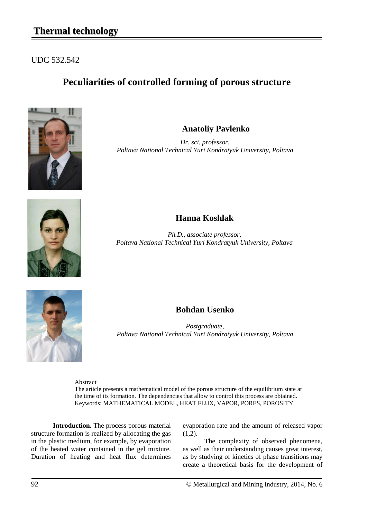# **Thermal technology**

#### UDC 532.542

### **Peculiarities of controlled forming of porous structure**



**Anatoliy Pavlenko**

*Dr. sci, professor, Poltava National Technical Yuri Kondratyuk University, Poltava*



### **Hanna Koshlak**

*Ph.D., associate professor, Poltava National Technical Yuri Kondratyuk University, Poltava*



### **Bohdan Usenko**

*Postgraduate, Poltava National Technical Yuri Kondratyuk University, Poltava*

Abstract The article presents a mathematical model of the porous structure of the equilibrium state at the time of its formation. The dependencies that allow to control this process are obtained. Keywords: MATHEMATICAL MODEL, HEAT FLUX, VAPOR, PORES, POROSITY

**Introduction.** The process porous material structure formation is realized by allocating the gas in the plastic medium, for example, by evaporation of the heated water contained in the gel mixture. Duration of heating and heat flux determines

evaporation rate and the amount of released vapor  $(1,2)$ .

The complexity of observed phenomena, as well as their understanding causes great interest, as by studying of kinetics of phase transitions may create a theoretical basis for the development of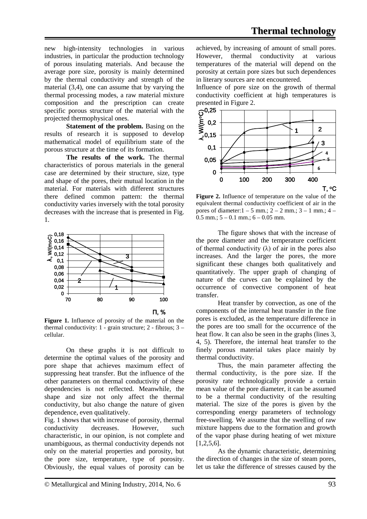new high-intensity technologies in various industries, in particular the production technology of porous insulating materials. And because the average pore size, porosity is mainly determined by the thermal conductivity and strength of the material (3,4), one can assume that by varying the thermal processing modes, a raw material mixture composition and the prescription can create specific porous structure of the material with the projected thermophysical ones.

**Statement of the problem.** Basing on the results of research it is supposed to develop mathematical model of equilibrium state of the porous structure at the time of its formation.

**The results of the work.** The thermal characteristics of porous materials in the general case are determined by their structure, size, type and shape of the pores, their mutual location in the material. For materials with different structures there defined common pattern: the thermal conductivity varies inversely with the total porosity decreases with the increase that is presented in Fig. 1.



**Figure 1.** Influence of porosity of the material on the thermal conductivity:  $1$  - grain structure:  $2$  - fibrous:  $3$  cellular.

On these graphs it is not difficult to determine the optimal values of the porosity and pore shape that achieves maximum effect of suppressing heat transfer. But the influence of the other parameters on thermal conductivity of these dependencies is not reflected. Meanwhile, the shape and size not only affect the thermal conductivity, but also change the nature of given dependence, even qualitatively.

Fig. 1 shows that with increase of porosity, thermal conductivity decreases. However, such characteristic, in our opinion, is not complete and unambiguous, as thermal conductivity depends not only on the material properties and porosity, but the pore size, temperature, type of porosity. Obviously, the equal values of porosity can be achieved, by increasing of amount of small pores. However, thermal conductivity at various temperatures of the material will depend on the porosity at certain pore sizes but such dependences in literary sources are not encountered.

Influence of pore size on the growth of thermal conductivity coefficient at high temperatures is presented in Figure 2.



**Figure 2.** Influence of temperature on the value of the equivalent thermal conductivity coefficient of air in the pores of diameter:1 – 5 mm.; 2 – 2 mm.; 3 – 1 mm.; 4 –  $0.5$  mm.;  $5 - 0.1$  mm.;  $6 - 0.05$  mm.

The figure shows that with the increase of the pore diameter and the temperature coefficient of thermal conductivity  $(\lambda)$  of air in the pores also increases. And the larger the pores, the more significant these changes both qualitatively and quantitatively. The upper graph of changing of nature of the curves can be explained by the occurrence of convective component of heat transfer.

Heat transfer by convection, as one of the components of the internal heat transfer in the fine pores is excluded, as the temperature difference in the pores are too small for the occurrence of the heat flow. It can also be seen in the graphs (lines 3, 4, 5). Therefore, the internal heat transfer to the finely porous material takes place mainly by thermal conductivity.

Thus, the main parameter affecting the thermal conductivity, is the pore size. If the porosity rate technologically provide a certain mean value of the pore diameter, it can be assumed to be a thermal conductivity of the resulting material. The size of the pores is given by the corresponding energy parameters of technology free-swelling. We assume that the swelling of raw mixture happens due to the formation and growth of the vapor phase during heating of wet mixture [1,2,5,6].

As the dynamic characteristic, determining the direction of changes in the size of steam pores, let us take the difference of stresses caused by the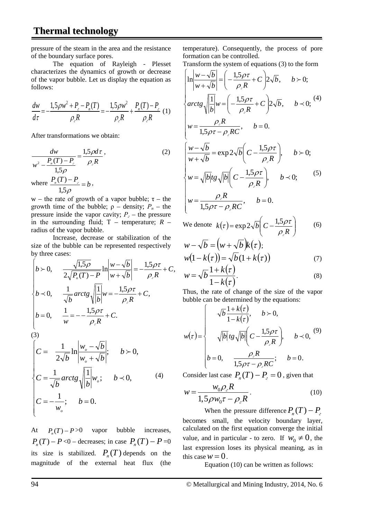# **Thermal technology**

pressure of the steam in the area and the resistance of the boundary surface pores.

The equation of Rayleigh - Plesset characterizes the dynamics of growth or decrease of the vapor bubble. Let us display the equation as follows:

$$
\frac{dw}{d\tau} = -\frac{1,5\rho w^2 + P_z - P_n(T)}{\rho_z R} = -\frac{1,5\rho w^2}{\rho_z R} + \frac{P_n(T) - P_z}{\rho_z R} (1)
$$

After transformations we obtain:

$$
\frac{dw}{w^2 - \frac{P_n(T) - P_e}{1,5\rho}} = \frac{1,5\rho d\tau}{\rho_e R},
$$
\nwhere  $\frac{P_n(T) - P_e}{1,5\rho} = b$ ,  
\n $\frac{dw}{1,5\rho} = b$ ,

w – the rate of growth of a vapor bubble;  $\tau$  – the growth time of the bubble;  $\rho$  – density;  $P_n$  – the pressure inside the vapor cavity;  $P_e$  – the pressure in the surrounding fluid; Т – temperature; *R –* radius of the vapor bubble.

Increase, decrease or stabilization of the size of the bubble can be represented respectively by three cases:

$$
\begin{cases}\nb > 0, & \frac{\sqrt{1.5\rho}}{2\sqrt{P_n(T) - P}} \ln \left| \frac{w - \sqrt{b}}{w + \sqrt{b}} \right| = -\frac{1.5\rho\tau}{\rho_s R} + C, \\
b < 0, & \frac{1}{\sqrt{b}} \operatorname{arctg} \sqrt{\left| \frac{1}{b} \right|} w = -\frac{1.5\rho\tau}{\rho_s R} + C, \\
b = 0, & \frac{1}{w} = -\frac{1.5\rho\tau}{\rho_s R} + C.\n\end{cases}
$$

(3)

$$
\begin{cases}\nC = \frac{1}{2\sqrt{b}} \ln \left| \frac{w_o - \sqrt{b}}{w_o + \sqrt{b}} \right|; & b > 0, \\
C = \frac{1}{\sqrt{b}} \operatorname{arctg} \sqrt{\left| \frac{1}{b} \right|} w_o; & b \prec 0, \\
C = -\frac{1}{w_o}; & b = 0.\n\end{cases}
$$
\n(4)

At  $P(T) - P > 0$  vapor bubble increases,  $P_n(T) - P \le 0$  – decreases; in case  $P_n(T) - P = 0$ its size is stabilized.  $P_n(T)$  depends on the magnitude of the external heat flux (the

temperature). Consequently, the process of pore formation can be controlled.

Transform the system of equations (3) to the form

$$
\begin{cases}\n\ln \left| \frac{w - \sqrt{b}}{w + \sqrt{b}} \right| = \left( -\frac{1.5\rho\tau}{\rho_{\ell}R} + C \right) 2\sqrt{b}, & b > 0; \\
\arctg \sqrt{\left| \frac{1}{b} \right|} w = \left( -\frac{1.5\rho\tau}{\rho_{\ell}R} + C \right) 2\sqrt{b}, & b < 0; \\
w = \frac{\rho_{\ell}R}{1.5\rho\tau - \rho_{\ell}RC}, & b = 0. \\
\frac{w - \sqrt{b}}{w + \sqrt{b}} = \exp 2\sqrt{b} \left( C - \frac{1.5\rho\tau}{\rho_{\ell}R} \right), & b > 0; \\
w = \sqrt{|b|} t g \sqrt{|b|} \left( C - \frac{1.5\rho\tau}{\rho_{\ell}R} \right), & b < 0; \\
w = \frac{\rho_{\ell}R}{1.5\rho\tau - \rho_{\ell}RC}, & b = 0.\n\end{cases}
$$
\n(5)

We denote 
$$
k(\tau) = \exp 2\sqrt{b} \left( C - \frac{1.5 \rho \tau}{\rho_{\ell} R} \right)
$$
 (6)

$$
w - \sqrt{b} = (w + \sqrt{b})k(\tau);
$$
  

$$
w(1 - k(\tau)) = \sqrt{b}(1 + k(\tau))
$$
 (7)

$$
w = \sqrt{b} \frac{1 + k(\tau)}{1 - k(\tau)}.
$$
\n(8)

Thus, the rate of change of the size of the vapor bubble can be determined by the equations:

$$
w(\tau) = \begin{cases} \sqrt{b} \frac{1 + k(\tau)}{1 - k(\tau)}, & b > 0, \\ \sqrt{|b|} t g \sqrt{|b|} \left( C - \frac{1.5 \rho \tau}{\rho_{\ell} R} \right), & b \prec 0, \end{cases} (9)
$$

$$
b = 0, \quad \frac{\rho_{\ell} R}{1.5 \rho \tau - \rho_{\ell} RC}; \quad b = 0.
$$

Consider last case  $P_n(T) - P_1 = 0$ , given that

$$
w = \frac{w_0 \rho_z R}{1.5 \rho w_0 \tau - \rho_z R}.
$$
 (10)

When the pressure difference  $P_n(T) - P_n$ becomes small, the velocity boundary layer, calculated on the first equation converge the initial value, and in particular - to zero. If  $w_0 \neq 0$ , the last expression loses its physical meaning, as in this case  $w = 0$ .

Equation (10) can be written as follows: